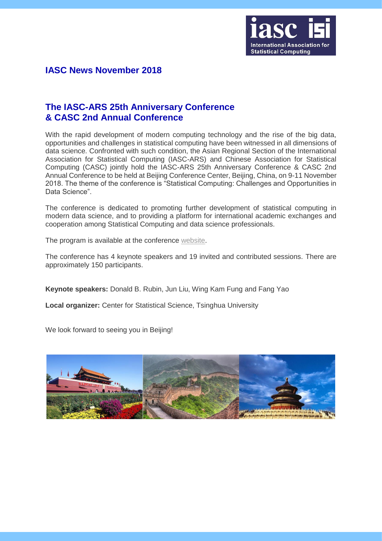

## **IASC News November 2018**

# **The IASC-ARS 25th Anniversary Conference & CASC 2nd Annual Conference**

With the rapid development of modern computing technology and the rise of the big data, opportunities and challenges in statistical computing have been witnessed in all dimensions of data science. Confronted with such condition, the Asian Regional Section of the International Association for Statistical Computing (IASC-ARS) and Chinese Association for Statistical Computing (CASC) jointly hold the IASC-ARS 25th Anniversary Conference & CASC 2nd Annual Conference to be held at Beijing Conference Center, Beijing, China, on 9-11 November 2018. The theme of the conference is "Statistical Computing: Challenges and Opportunities in Data Science".

The conference is dedicated to promoting further development of statistical computing in modern data science, and to providing a platform for international academic exchanges and cooperation among Statistical Computing and data science professionals.

The program is available at the conference [website.](http://www.stat.tsinghua.edu.cn/2018/05/20/statistical-computing-challenges-and-opportunities-in-data-science/)

The conference has 4 keynote speakers and 19 invited and contributed sessions. There are approximately 150 participants.

**Keynote speakers:** Donald B. Rubin, Jun Liu, Wing Kam Fung and Fang Yao

**Local organizer:** Center for Statistical Science, Tsinghua University

We look forward to seeing you in Beijing!

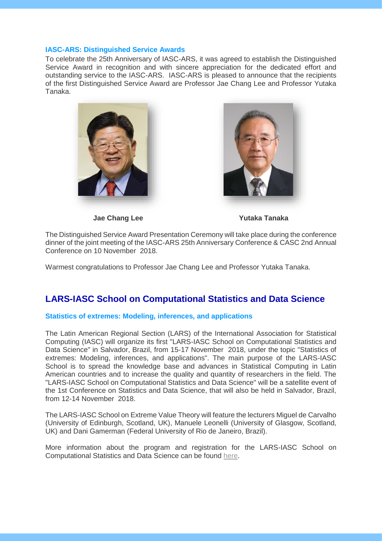#### **IASC-ARS: Distinguished Service Awards**

To celebrate the 25th Anniversary of IASC-ARS, it was agreed to establish the Distinguished Service Award in recognition and with sincere appreciation for the dedicated effort and outstanding service to the IASC-ARS. IASC-ARS is pleased to announce that the recipients of the first Distinguished Service Award are Professor Jae Chang Lee and Professor Yutaka Tanaka.





**Jae Chang Lee Yutaka Tanaka**

The Distinguished Service Award Presentation Ceremony will take place during the conference dinner of the joint meeting of the IASC-ARS 25th Anniversary Conference & CASC 2nd Annual Conference on 10 November 2018.

Warmest congratulations to Professor Jae Chang Lee and Professor Yutaka Tanaka.

## **LARS-IASC School on Computational Statistics and Data Science**

#### **Statistics of extremes: Modeling, inferences, and applications**

The Latin American Regional Section (LARS) of the International Association for Statistical Computing (IASC) will organize its first "LARS-IASC School on Computational Statistics and Data Science" in Salvador, Brazil, from 15-17 November 2018, under the topic "Statistics of extremes: Modeling, inferences, and applications". The main purpose of the LARS-IASC School is to spread the knowledge base and advances in Statistical Computing in Latin American countries and to increase the quality and quantity of researchers in the field. The "LARS-IASC School on Computational Statistics and Data Science" will be a satellite event of the 1st Conference on Statistics and Data Science, that will also be held in Salvador, Brazil, from 12-14 November 2018.

The LARS-IASC School on Extreme Value Theory will feature the lecturers Miguel de Carvalho (University of Edinburgh, Scotland, UK), Manuele Leonelli (University of Glasgow, Scotland, UK) and Dani Gamerman (Federal University of Rio de Janeiro, Brazil).

More information about the program and registration for the LARS-IASC School on Computational Statistics and Data Science can be found [here.](http://www.csds.ime.ufba.br/LARS.html)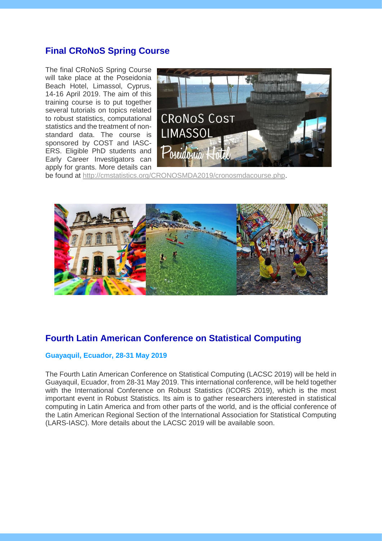# **Final CRoNoS Spring Course**

The final CRoNoS Spring Course will take place at the Poseidonia Beach Hotel, Limassol, Cyprus, 14-16 April 2019. The aim of this training course is to put together several tutorials on topics related to robust statistics, computational statistics and the treatment of nonstandard data. The course is sponsored by COST and IASC-ERS. Eligible PhD students and Early Career Investigators can apply for grants. More details can



be found at [http://cmstatistics.org/CRONOSMDA2019/cronosmdacourse.php.](http://cmstatistics.org/CRONOSMDA2019/cronosmdacourse.php)



## **Fourth Latin American Conference on Statistical Computing**

### **Guayaquil, Ecuador, 28-31 May 2019**

The Fourth Latin American Conference on Statistical Computing (LACSC 2019) will be held in Guayaquil, Ecuador, from 28-31 May 2019. This international conference, will be held together with the International Conference on Robust Statistics (ICORS 2019), which is the most important event in Robust Statistics. Its aim is to gather researchers interested in statistical computing in Latin America and from other parts of the world, and is the official conference of the Latin American Regional Section of the International Association for Statistical Computing (LARS-IASC). More details about the LACSC 2019 will be available soon.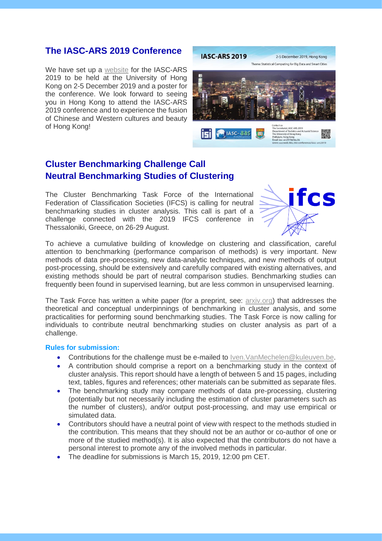## **The IASC-ARS 2019 Conference**

We have set up a [website](http://www.saasweb.hku.hk/conference/iasc-ars2019/) for the IASC-ARS 2019 to be held at the University of Hong Kong on 2-5 December 2019 and a poster for the conference. We look forward to seeing you in Hong Kong to attend the IASC-ARS 2019 conference and to experience the fusion of Chinese and Western cultures and beauty of Hong Kong!



# **Cluster Benchmarking Challenge Call Neutral Benchmarking Studies of Clustering**

The Cluster Benchmarking Task Force of the International Federation of Classification Societies (IFCS) is calling for neutral benchmarking studies in cluster analysis. This call is part of a challenge connected with the 2019 IFCS conference in Thessaloniki, Greece, on 26-29 August.



To achieve a cumulative building of knowledge on clustering and classification, careful attention to benchmarking (performance comparison of methods) is very important. New methods of data pre-processing, new data-analytic techniques, and new methods of output post-processing, should be extensively and carefully compared with existing alternatives, and existing methods should be part of neutral comparison studies. Benchmarking studies can frequently been found in supervised learning, but are less common in unsupervised learning.

The Task Force has written a white paper (for a preprint, see: [arxiv.org\)](https://arxiv.org/abs/1809.10496) that addresses the theoretical and conceptual underpinnings of benchmarking in cluster analysis, and some practicalities for performing sound benchmarking studies. The Task Force is now calling for individuals to contribute neutral benchmarking studies on cluster analysis as part of a challenge.

#### **Rules for submission:**

- Contributions for the challenge must be e-mailed to Iven. Van Mechelen @kuleuven.be.
- A contribution should comprise a report on a benchmarking study in the context of cluster analysis. This report should have a length of between 5 and 15 pages, including text, tables, figures and references; other materials can be submitted as separate files.
- The benchmarking study may compare methods of data pre-processing, clustering (potentially but not necessarily including the estimation of cluster parameters such as the number of clusters), and/or output post-processing, and may use empirical or simulated data.
- Contributors should have a neutral point of view with respect to the methods studied in the contribution. This means that they should not be an author or co-author of one or more of the studied method(s). It is also expected that the contributors do not have a personal interest to promote any of the involved methods in particular.
- The deadline for submissions is March 15, 2019, 12:00 pm CET.